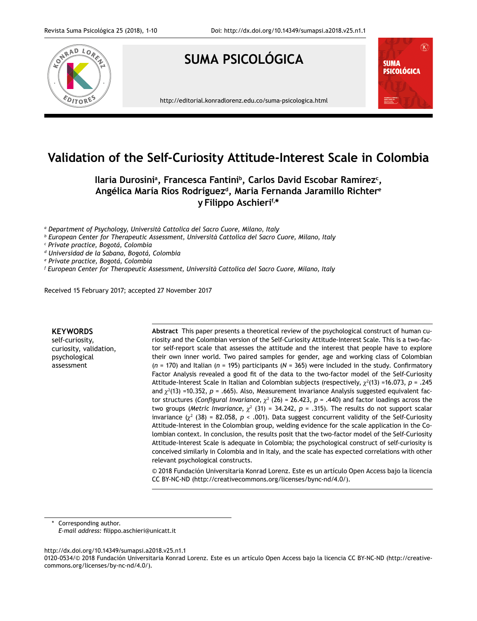

# **Validation of the Self-Curiosity Attitude-Interest Scale in Colombia**

Ilaria Durosiniª, Francesca Fantiniʰ, Carlos David Escobar Ramírez<sup>c</sup>, **Angélica María Ríos Rodríguezd, Maria Fernanda Jaramillo Richtere y Filippo Aschierif,\***

*a Department of Psychology, Università Cattolica del Sacro Cuore, Milano, Italy*

*b European Center for Therapeutic Assessment, Università Cattolica del Sacro Cuore, Milano, Italy*

*c Private practice, Bogotá, Colombia*

*d Universidad de la Sabana, Bogotá, Colombia*

*e Private practice, Bogotá, Colombia*

*f European Center for Therapeutic Assessment, Università Cattolica del Sacro Cuore, Milano, Italy*

Received 15 February 2017; accepted 27 November 2017

# **KEYWORDS**

self-curiosity, curiosity, validation, psychological assessment

**Abstract** This paper presents a theoretical review of the psychological construct of human curiosity and the Colombian version of the Self-Curiosity Attitude-Interest Scale. This is a two-factor self-report scale that assesses the attitude and the interest that people have to explore their own inner world. Two paired samples for gender, age and working class of Colombian (*n* = 170) and Italian (*n* = 195) participants (*N* = 365) were included in the study. Confirmatory Factor Analysis revealed a good fit of the data to the two-factor model of the Self-Curiosity Attitude-Interest Scale in Italian and Colombian subjects (respectively, <sup>2</sup> (13) =16.073, *p* = .245 and  $\chi^2(13)$  =10.352,  $p$  = .665). Also, Measurement Invariance Analysis suggested equivalent factor structures (*Configural Invariance*,  $\chi^2$  (26) = 26.423, *p* = .440) and factor loadings across the two groups (*Metric Invariance*,  $\chi^2$  (31) = 34.242,  $p = .315$ ). The results do not support scalar invariance  $(\chi^2 \ (38) = 82.058, \ p \le .001)$ . Data suggest concurrent validity of the Self-Curiosity Attitude-Interest in the Colombian group, welding evidence for the scale application in the Colombian context. In conclusion, the results posit that the two-factor model of the Self-Curiosity Attitude-Interest Scale is adequate in Colombia; the psychological construct of self-curiosity is conceived similarly in Colombia and in Italy, and the scale has expected correlations with other relevant psychological constructs.

© 2018 Fundación Universitaria Konrad Lorenz. Este es un artículo Open Access bajo la licencia CC BY-NC-ND (http://creativecommons.org/licenses/bync-nd/4.0/).

Corresponding author. *E-mail address:* filippo.aschieri@unicatt.it

http://dx.doi.org/10.14349/sumapsi.a2018.v25.n1.1

0120-0534/© 2018 Fundación Universitaria Konrad Lorenz. Este es un artículo Open Access bajo la licencia CC BY-NC-ND (http://creativecommons.org/licenses/by-nc-nd/4.0/).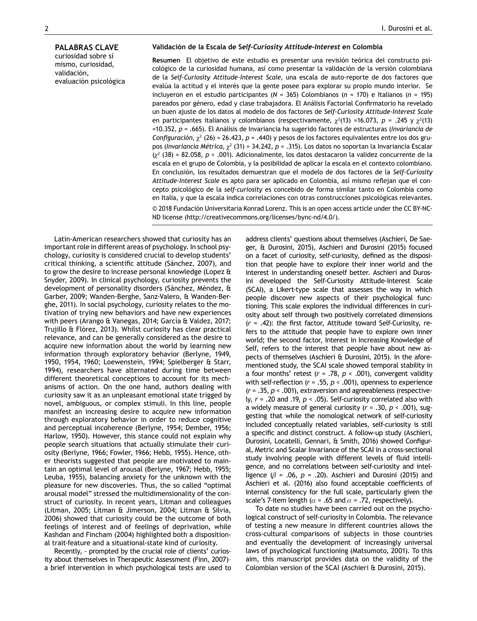curiosidad sobre sí mismo, curiosidad, validación, evaluación psicológica

**Resumen** El objetivo de este estudio es presentar una revisión teórica del constructo psicológico de la curiosidad humana, así como presentar la validación de la versión colombiana de la *Self-Curiosity Attitude-Interest Scale*, una escala de auto-reporte de dos factores que evalúa la actitud y el interés que la gente posee para explorar su propio mundo interior. Se incluyeron en el estudio participantes (*N* = 365) Colombianos (*n* = 170) e Italianos (*n* = 195) pareados por género, edad y clase trabajadora. El Análisis Factorial Confirmatorio ha revelado un buen ajuste de los datos al modelo de dos factores de *Self-Curiosity Attitude-Interest Scale* en participantes italianos y colombianos (respectivamente,  $\chi^2(13)$  =16.073,  $p = .245$  y  $\chi^2(13)$ =10.352, *p* = .665). El Análisis de Invariancia ha sugerido factores de estructuras (*Invariancia de Configuración,*  $\chi^2$  (26) = 26.423, *p* = .440) y pesos de los factores equivalentes entre los dos grupos (*Invariancia Métrica*, <sup>2</sup> (31) = 34.242, *p* = .315). Los datos no soportan la Invariancia Escalar  $(x^2)$  (38) = 82.058,  $p < .001$ ). Adicionalmente, los datos destacaron la validez concurrente de la escala en el grupo de Colombia, y la posibilidad de aplicar la escala en el contexto colombiano. En conclusión, los resultados demuestran que el modelo de dos factores de la *Self-Curiosity Attitude-Interest Scale* es apto para ser aplicado en Colombia, así mismo reflejan que el concepto psicológico de la *self-curiosity* es concebido de forma similar tanto en Colombia como en Italia, y que la escala indica correlaciones con otras construcciones psicológicas relevantes. © 2018 Fundación Universitaria Konrad Lorenz. This is an open access article under the CC BY-NC-ND license (http://creativecommons.org/licenses/bync-nd/4.0/).

Latin-American researchers showed that curiosity has an important role in different areas of psychology. In school psychology, curiosity is considered crucial to develop students' critical thinking, a scientific attitude (Sánchez, 2007), and to grow the desire to increase personal knowledge (Lopez & Snyder, 2009). In clinical psychology, curiosity prevents the development of personality disorders (Sánchez, Méndez, & Garber, 2009; Wanden-Berghe, Sanz-Valero, & Wanden-Berghe, 2011). In social psychology, curiosity relates to the motivation of trying new behaviors and have new experiences with peers (Arango & Vanegas, 2014; García & Valdez, 2017; Trujillo & Flòrez, 2013). Whilst curiosity has clear practical relevance, and can be generally considered as the desire to acquire new information about the world by learning new information through exploratory behavior (Berlyne, 1949, 1950, 1954, 1960; Loewenstein, 1994; Spielberger & Starr, 1994), researchers have alternated during time between different theoretical conceptions to account for its mechanisms of action. On the one hand, authors dealing with curiosity saw it as an unpleasant emotional state trigged by novel, ambiguous, or complex stimuli. In this line, people manifest an increasing desire to acquire new information through exploratory behavior in order to reduce cognitive and perceptual incoherence (Berlyne, 1954; Dember, 1956; Harlow, 1950). However, this stance could not explain why people search situations that actually stimulate their curiosity (Berlyne, 1966; Fowler, 1966; Hebb, 1955). Hence, other theorists suggested that people are motivated to maintain an optimal level of arousal (Berlyne, 1967; Hebb, 1955; Leuba, 1955), balancing anxiety for the unknown with the pleasure for new discoveries. Thus, the so called "optimal arousal model" stressed the multidimensionality of the construct of curiosity. In recent years, Litman and colleagues (Litman, 2005; Litman & Jimerson, 2004; Litman & Silvia, 2006) showed that curiosity could be the outcome of both feelings of interest and of feelings of deprivation, while Kashdan and Fincham (2004) highlighted both a dispositional trait-feature and a situational-state kind of curiosity.

Recently, - prompted by the crucial role of clients' curiosity about themselves in Therapeutic Assessment (Finn, 2007)– a brief intervention in which psychological tests are used to address clients' questions about themselves (Aschieri, De Saeger, & Durosini, 2015), Aschieri and Durosini (2015) focused on a facet of curiosity, self-curiosity, defined as the disposition that people have to explore their inner world and the interest in understanding oneself better. Aschieri and Durosini developed the Self-Curiosity Attitude-Interest Scale (SCAI), a Likert-type scale that assesses the way in which people discover new aspects of their psychological functioning. This scale explores the individual differences in curiosity about self through two positively correlated dimensions (*r* = .42): the first factor, Attitude toward Self-Curiosity, refers to the attitude that people have to explore own inner world; the second factor, Interest in Increasing Knowledge of Self, refers to the interest that people have about new aspects of themselves (Aschieri & Durosini, 2015). In the aforementioned study, the SCAI scale showed temporal stability in a four months' retest  $(r = .78, p < .001)$ , convergent validity with self-reflection (*r* = .55, *p* < .001), openness to experience (*r* = .35, *p* < .001), extraversion and agreeableness (respectively, *r* = .20 and .19, *p* < .05). Self-curiosity correlated also with a widely measure of general curiosity (*r* = .30, *p* < .001), suggesting that while the nomological network of self-curiosity included conceptually related variables, self-curiosity is still a specific and distinct construct. A follow-up study (Aschieri, Durosini, Locatelli, Gennari, & Smith, 2016) showed Configural, Metric and Scalar Invariance of the SCAI in a cross-sectional study involving people with different levels of fluid intelligence, and no correlations between self-curiosity and intelligence  $(\beta = .06, p = .20)$ . Aschieri and Durosini (2015) and Aschieri et al. (2016) also found acceptable coefficients of internal consistency for the full scale, particularly given the scale's 7-item length ( $\alpha$  = .65 and  $\alpha$  = .72, respectively).

To date no studies have been carried out on the psychological construct of self-curiosity in Colombia. The relevance of testing a new measure in different countries allows the cross-cultural comparisons of subjects in those countries and eventually the development of increasingly universal laws of psychological functioning (Matsumoto, 2001). To this aim, this manuscript provides data on the validity of the Colombian version of the SCAI (Aschieri & Durosini, 2015).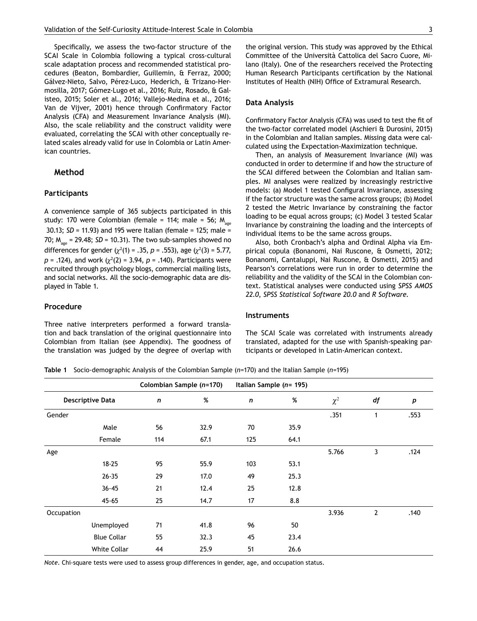Specifically, we assess the two-factor structure of the SCAI Scale in Colombia following a typical cross-cultural scale adaptation process and recommended statistical procedures (Beaton, Bombardier, Guillemin, & Ferraz, 2000; Gálvez-Nieto, Salvo, Pérez-Luco, Hederich, & Trizano-Hermosilla, 2017; Gómez-Lugo et al., 2016; Ruiz, Rosado, & Galisteo, 2015; Soler et al., 2016; Vallejo-Medina et al., 2016; Van de Vijver, 2001) hence through Confirmatory Factor Analysis (CFA) and Measurement Invariance Analysis (MI). Also, the scale reliability and the construct validity were evaluated, correlating the SCAI with other conceptually related scales already valid for use in Colombia or Latin American countries.

# **Method**

#### **Participants**

A convenience sample of 365 subjects participated in this study: 170 were Colombian (female = 114; male = 56;  $M_{\text{age}}$  30.13; *SD* = 11.93) and 195 were Italian (female = 125; male = 70;  $M_{\text{age}}$  = 29.48; *SD* = 10.31). The two sub-samples showed no differences for gender ( $\chi^2(1)$  = .35, *p* = .553), age ( $\chi^2(3)$  = 5.77, *p* = .124), and work ( $\chi^2(2)$  = 3.94, *p* = .140). Participants were recruited through psychology blogs, commercial mailing lists, and social networks. All the socio-demographic data are displayed in Table 1.

#### **Procedure**

Three native interpreters performed a forward translation and back translation of the original questionnaire into Colombian from Italian (see Appendix). The goodness of the translation was judged by the degree of overlap with

#### **Data Analysis**

Confirmatory Factor Analysis (CFA) was used to test the fit of the two-factor correlated model (Aschieri & Durosini, 2015) in the Colombian and Italian samples. Missing data were calculated using the Expectation-Maximization technique.

Institutes of Health (NIH) Office of Extramural Research.

Then, an analysis of Measurement Invariance (MI) was conducted in order to determine if and how the structure of the SCAI differed between the Colombian and Italian samples. MI analyses were realized by increasingly restrictive models: (a) Model 1 tested Configural Invariance, assessing if the factor structure was the same across groups; (b) Model 2 tested the Metric Invariance by constraining the factor loading to be equal across groups; (c) Model 3 tested Scalar Invariance by constraining the loading and the intercepts of individual items to be the same across groups.

Also, both Cronbach's alpha and Ordinal Alpha via Empirical copula (Bonanomi, Nai Ruscone, & Osmetti, 2012; Bonanomi, Cantaluppi, Nai Ruscone, & Osmetti, 2015) and Pearson's correlations were run in order to determine the reliability and the validity of the SCAI in the Colombian context. Statistical analyses were conducted using *SPSS AMOS 22.0*, *SPSS Statistical Software 20.0* and *R Software*.

#### **Instruments**

The SCAI Scale was correlated with instruments already translated, adapted for the use with Spanish-speaking participants or developed in Latin-American context.

**Table 1** Socio-demographic Analysis of the Colombian Sample (*n*=170) and the Italian Sample (*n*=195)

|                         |                     | Colombian Sample (n=170) |      | Italian Sample (n= 195) |      |          |                |      |
|-------------------------|---------------------|--------------------------|------|-------------------------|------|----------|----------------|------|
| <b>Descriptive Data</b> |                     | $\mathbf n$              | %    | $\mathsf{n}$            | %    | $\chi^2$ | df             | p    |
| Gender                  |                     |                          |      |                         |      | .351     | 1              | .553 |
|                         | Male                | 56                       | 32.9 | 70                      | 35.9 |          |                |      |
|                         | Female              | 114                      | 67.1 | 125                     | 64.1 |          |                |      |
| Age                     |                     |                          |      |                         |      | 5.766    | 3              | .124 |
|                         | $18 - 25$           | 95                       | 55.9 | 103                     | 53.1 |          |                |      |
|                         | $26 - 35$           | 29                       | 17.0 | 49                      | 25.3 |          |                |      |
|                         | $36 - 45$           | 21                       | 12.4 | 25                      | 12.8 |          |                |      |
|                         | $45 - 65$           | 25                       | 14.7 | 17                      | 8.8  |          |                |      |
| Occupation              |                     |                          |      |                         |      | 3.936    | $\overline{2}$ | .140 |
|                         | Unemployed          | 71                       | 41.8 | 96                      | 50   |          |                |      |
|                         | <b>Blue Collar</b>  | 55                       | 32.3 | 45                      | 23.4 |          |                |      |
|                         | <b>White Collar</b> | 44                       | 25.9 | 51                      | 26.6 |          |                |      |

*Note*. Chi-square tests were used to assess group differences in gender, age, and occupation status.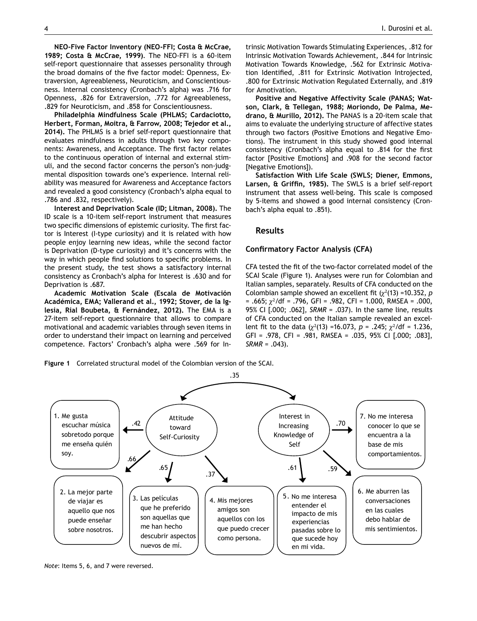**NEO-Five Factor Inventory (NEO-FFI; Costa & McCrae, 1989; Costa & McCrae, 1999)**. The NEO-FFI is a 60-item self-report questionnaire that assesses personality through the broad domains of the five factor model: Openness, Extraversion, Agreeableness, Neuroticism, and Conscientiousness. Internal consistency (Cronbach's alpha) was .716 for Openness, .826 for Extraversion, .772 for Agreeableness, .829 for Neuroticism, and .858 for Conscientiousness.

**Philadelphia Mindfulness Scale (PHLMS; Cardaciotto, Herbert, Forman, Moitra, & Farrow, 2008; Tejedor et al., 2014).** The PHLMS is a brief self-report questionnaire that evaluates mindfulness in adults through two key components: Awareness, and Acceptance. The first factor relates to the continuous operation of internal and external stimuli, and the second factor concerns the person's non-judgmental disposition towards one's experience. Internal reliability was measured for Awareness and Acceptance factors and revealed a good consistency (Cronbach's alpha equal to .786 and .832, respectively).

**Interest and Deprivation Scale (ID; Litman, 2008).** The ID scale is a 10-item self-report instrument that measures two specific dimensions of epistemic curiosity. The first factor is Interest (I-type curiosity) and it is related with how people enjoy learning new ideas, while the second factor is Deprivation (D-type curiosity) and it's concerns with the way in which people find solutions to specific problems. In the present study, the test shows a satisfactory internal consistency as Cronbach's alpha for Interest is .630 and for Deprivation is .687.

**Academic Motivation Scale (Escala de Motivación Académica, EMA; Vallerand et al., 1992; Stover, de la Iglesia, Rial Boubeta, & Fernández, 2012).** The EMA is a 27-item self-report questionnaire that allows to compare motivational and academic variables through seven items in order to understand their impact on learning and perceived competence. Factors' Cronbach's alpha were .569 for Intrinsic Motivation Towards Stimulating Experiences, .812 for Intrinsic Motivation Towards Achievement, .844 for Intrinsic Motivation Towards Knowledge, .562 for Extrinsic Motivation Identified, .811 for Extrinsic Motivation Introjected, .800 for Extrinsic Motivation Regulated Externally, and .819 for Amotivation.

**Positive and Negative Affectivity Scale (PANAS; Watson, Clark, & Tellegan, 1988; Moriondo, De Palma, Medrano, & Murillo, 2012).** The PANAS is a 20-item scale that aims to evaluate the underlying structure of affective states through two factors (Positive Emotions and Negative Emotions). The instrument in this study showed good internal consistency (Cronbach's alpha equal to .814 for the first factor [Positive Emotions] and .908 for the second factor [Negative Emotions]).

**Satisfaction With Life Scale (SWLS; Diener, Emmons, Larsen, & Griffin, 1985).** The SWLS is a brief self-report instrument that assess well-being. This scale is composed by 5-items and showed a good internal consistency (Cronbach's alpha equal to .851).

#### **Results**

#### **Confirmatory Factor Analysis (CFA)**

CFA tested the fit of the two-factor correlated model of the SCAI Scale (Figure 1). Analyses were run for Colombian and Italian samples, separately. Results of CFA conducted on the Colombian sample showed an excellent fit  $(\chi^2(13) = 10.352, p)$ = .665;  $\chi^2$ /df = .796, GFI = .982, CFI = 1.000, RMSEA = .000, 95% CI [.000; .062], *SRMR* = .037). In the same line, results of CFA conducted on the Italian sample revealed an excellent fit to the data  $(\chi^2(13) = 16.073, p = .245; \chi^2/df = 1.236,$ GFI = .978, CFI = .981, RMSEA = .035, 95% CI [.000; .083], *SRMR* = .043).

**Figure 1** Correlated structural model of the Colombian version of the SCAI.



*Note*: Items 5, 6, and 7 were reversed.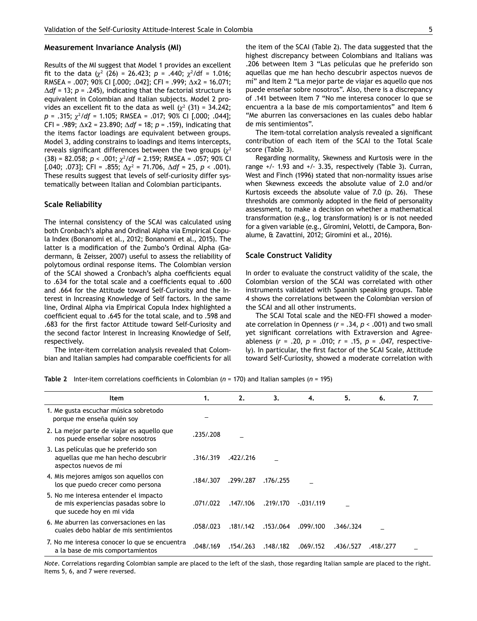#### **Measurement Invariance Analysis (MI)**

Results of the MI suggest that Model 1 provides an excellent fit to the data  $(\chi^2 \ (26) = 26.423; \ p = .440; \ \chi^2/df = 1.016;$ RMSEA = .007; 90% CI [.000; .042]; CFI = .999;  $\Delta x2$  = 16.071;  $\Delta df$  = 13; *p* = .245), indicating that the factorial structure is equivalent in Colombian and Italian subjects. Model 2 provides an excellent fit to the data as well  $(\chi^2$  (31) = 34.242; *p* = .315; <sup>2</sup> /*df* = 1.105; RMSEA = .017; 90% CI [.000; .044]; CFI = .989;  $\Delta x2$  = 23.890;  $\Delta df$  = 18;  $p$  = .159), indicating that the items factor loadings are equivalent between groups. Model 3, adding constrains to loadings and items intercepts, reveals significant differences between the two groups  $(\chi^2)$  $(38)$  = 82.058; *p* < .001;  $\chi^2$ /df = 2.159; RMSEA = .057; 90% CI [.040; .073]; CFI = .855;  $\Delta \chi^2$  = 71.706,  $\Delta df$  = 25, p < .001). These results suggest that levels of self-curiosity differ systematically between Italian and Colombian participants.

#### **Scale Reliability**

The internal consistency of the SCAI was calculated using both Cronbach's alpha and Ordinal Alpha via Empirical Copula Index (Bonanomi et al., 2012; Bonanomi et al., 2015). The latter is a modification of the Zumbo's Ordinal Alpha (Gadermann, & Zeisser, 2007) useful to assess the reliability of polytomous ordinal response items. The Colombian version of the SCAI showed a Cronbach's alpha coefficients equal to .634 for the total scale and a coefficients equal to .600 and .664 for the Attitude toward Self-Curiosity and the Interest in Increasing Knowledge of Self factors. In the same line, Ordinal Alpha via Empirical Copula Index highlighted a coefficient equal to .645 for the total scale, and to .598 and .683 for the first factor Attitude toward Self-Curiosity and the second factor Interest in Increasing Knowledge of Self, respectively.

The inter-item correlation analysis revealed that Colombian and Italian samples had comparable coefficients for all the item of the SCAI (Table 2). The data suggested that the highest discrepancy between Colombians and Italians was .206 between Item 3 "Las películas que he preferido son aquellas que me han hecho descubrir aspectos nuevos de mí" and Item 2 "La mejor parte de viajar es aquello que nos puede enseñar sobre nosotros". Also, there is a discrepancy of .141 between Item 7 "No me interesa conocer lo que se encuentra a la base de mis comportamientos" and Item 6 "Me aburren las conversaciones en las cuales debo hablar de mis sentimientos".

The item-total correlation analysis revealed a significant contribution of each item of the SCAI to the Total Scale score (Table 3).

Regarding normality, Skewness and Kurtosis were in the range +/- 1.93 and +/- 3.35, respectively (Table 3). Curran, West and Finch (1996) stated that non-normality issues arise when Skewness exceeds the absolute value of 2.0 and/or Kurtosis exceeds the absolute value of 7.0 (p. 26). These thresholds are commonly adopted in the field of personality assessment, to make a decision on whether a mathematical transformation (e.g., log transformation) is or is not needed for a given variable (e.g., Giromini, Velotti, de Campora, Bonalume, & Zavattini, 2012; Giromini et al., 2016).

#### **Scale Construct Validity**

In order to evaluate the construct validity of the scale, the Colombian version of the SCAI was correlated with other instruments validated with Spanish speaking groups. Table 4 shows the correlations between the Colombian version of the SCAI and all other instruments.

The SCAI Total scale and the NEO-FFI showed a moderate correlation in Openness (*r* = .34, *p* < .001) and two small yet significant correlations with Extraversion and Agreeableness (*r* = .20, *p* = .010; *r* = .15, *p* = .047, respectively). In particular, the first factor of the SCAI Scale, Attitude toward Self-Curiosity, showed a moderate correlation with

**Table 2** Inter-item correlations coefficients in Colombian (*n* = 170) and Italian samples (*n* = 195)

| Item                                                                                                       | 1.        | 2.        | 3.        | 4.           | 5.        | 6.        | 7. |
|------------------------------------------------------------------------------------------------------------|-----------|-----------|-----------|--------------|-----------|-----------|----|
| 1. Me gusta escuchar música sobretodo<br>porque me enseña quién soy                                        |           |           |           |              |           |           |    |
| 2. La mejor parte de viajar es aquello que<br>nos puede enseñar sobre nosotros                             | .235/.208 |           |           |              |           |           |    |
| 3. Las películas que he preferido son<br>aquellas que me han hecho descubrir<br>aspectos nuevos de mí      | .316/.319 | .422/.216 |           |              |           |           |    |
| 4. Mis mejores amigos son aquellos con<br>los que puedo crecer como persona                                | .184/.307 | .299/.287 | .176/.255 |              |           |           |    |
| 5. No me interesa entender el impacto<br>de mis experiencias pasadas sobre lo<br>que sucede hoy en mi vida | .071/.022 | .147/.106 | .219/.170 | $-.031/.119$ |           |           |    |
| 6. Me aburren las conversaciones en las<br>cuales debo hablar de mis sentimientos                          | .058/.023 | .181/.142 | .153/.064 | .099/.100    | .346/.324 |           |    |
| 7. No me interesa conocer lo que se encuentra<br>a la base de mis comportamientos                          | .048/.169 | .154/.263 | .148/.182 | .069/.152    | .436/.527 | .418/.277 |    |

*Note*. Correlations regarding Colombian sample are placed to the left of the slash, those regarding Italian sample are placed to the right. Items 5, 6, and 7 were reversed.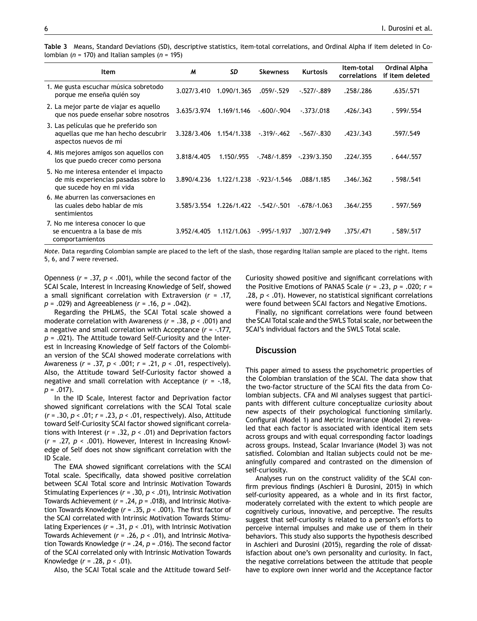|  |                                                         | Table 3 Means, Standard Deviations (SD), descriptive statistics, item-total correlations, and Ordinal Alpha if item deleted in Co- |  |  |  |  |
|--|---------------------------------------------------------|------------------------------------------------------------------------------------------------------------------------------------|--|--|--|--|
|  | lombian ( $n = 170$ ) and Italian samples ( $n = 195$ ) |                                                                                                                                    |  |  |  |  |

| Item                                                                                                       | M           | SD          | <b>Skewness</b> | <b>Kurtosis</b> | Item-total<br>correlations | Ordinal Alpha<br>if item deleted |
|------------------------------------------------------------------------------------------------------------|-------------|-------------|-----------------|-----------------|----------------------------|----------------------------------|
| 1. Me gusta escuchar música sobretodo<br>porque me enseña quién soy                                        | 3.027/3.410 | 1.090/1.365 | .059/-.529      | $-527/-889$     | .258/.286                  | .635/.571                        |
| 2. La mejor parte de viajar es aquello<br>que nos puede enseñar sobre nosotros                             | 3.635/3.974 | 1.169/1.146 | $-.600/-.904$   | $-.373/0.018$   | .426/.343                  | .599/0.554                       |
| 3. Las películas que he preferido son<br>aquellas que me han hecho descubrir<br>aspectos nuevos de mí      | 3.328/3.406 | 1.154/1.338 | $-.319/-.462$   | $-.567/-.830$   | .423/.343                  | .597/.549                        |
| 4. Mis mejores amigos son aquellos con<br>los que puedo crecer como persona                                | 3.818/4.405 | 1.150/.955  | $-748/ -1.859$  | $-239/3.350$    | .224/.355                  | .644/0557                        |
| 5. No me interesa entender el impacto<br>de mis experiencias pasadas sobre lo<br>que sucede hoy en mi vida | 3.890/4.236 | 1.122/1.238 | $-923/ -1.546$  | .088/1.185      | .346/0.362                 | .598/0.541                       |
| 6. Me aburren las conversaciones en<br>las cuales debo hablar de mis<br>sentimientos                       | 3.585/3.554 | 1.226/1.422 | $-542/-501$     | $-.678/-1.063$  | .364/0.255                 | .597/0.569                       |
| 7. No me interesa conocer lo que<br>se encuentra a la base de mis<br>comportamientos                       | 3.952/4.405 | 1.112/1.063 | $-0.995/0.1937$ | .307/2.949      | .375/.471                  | .589/0.517                       |

*Note.* Data regarding Colombian sample are placed to the left of the slash, those regarding Italian sample are placed to the right. Items 5, 6, and 7 were reversed.

Openness (*r* = .37, *p* < .001), while the second factor of the SCAI Scale, Interest in Increasing Knowledge of Self, showed a small significant correlation with Extraversion (*r* = .17, *p* = .029) and Agreeableness (*r* = .16, *p* = .042).

Regarding the PHLMS, the SCAI Total scale showed a moderate correlation with Awareness (*r* = .38, *p* < .001) and a negative and small correlation with Acceptance (*r* = -.177, *p* = .021). The Attitude toward Self-Curiosity and the Interest in Increasing Knowledge of Self factors of the Colombian version of the SCAI showed moderate correlations with Awareness (*r* = .37, *p* < .001; *r* = .21, *p* < .01, respectively). Also, the Attitude toward Self-Curiosity factor showed a negative and small correlation with Acceptance (*r* = -.18, *p* = .017).

In the ID Scale, Interest factor and Deprivation factor showed significant correlations with the SCAI Total scale (*r* = .30, *p* < .01; *r* = .23, *p* < .01, respectively). Also, Attitude toward Self-Curiosity SCAI factor showed significant correlations with Interest (*r* = .32, *p* < .01) and Deprivation factors (*r* = .27, *p* < .001). However, Interest in Increasing Knowledge of Self does not show significant correlation with the ID Scale.

The EMA showed significant correlations with the SCAI Total scale. Specifically, data showed positive correlation between SCAI Total score and Intrinsic Motivation Towards Stimulating Experiences (*r* = .30, *p* < .01), Intrinsic Motivation Towards Achievement (*r* = .24, *p* = .018), and Intrinsic Motivation Towards Knowledge (*r* = .35, *p* < .001). The first factor of the SCAI correlated with Intrinsic Motivation Towards Stimulating Experiences (*r* = .31, *p* < .01), with Intrinsic Motivation Towards Achievement (*r* = .26, *p* < .01), and Intrinsic Motivation Towards Knowledge (*r* = .24, *p* = .016). The second factor of the SCAI correlated only with Intrinsic Motivation Towards Knowledge (*r* = .28, *p* < .01).

Also, the SCAI Total scale and the Attitude toward Self-

Curiosity showed positive and significant correlations with the Positive Emotions of PANAS Scale (*r* = .23, *p* = .020; *r* = .28, *p* < .01). However, no statistical significant correlations were found between SCAI factors and Negative Emotions.

Finally, no significant correlations were found between the SCAI Total scale and the SWLS Total scale, nor between the SCAI's individual factors and the SWLS Total scale.

#### **Discussion**

This paper aimed to assess the psychometric properties of the Colombian translation of the SCAI. The data show that the two-factor structure of the SCAI fits the data from Colombian subjects. CFA and MI analyses suggest that participants with different culture conceptualize curiosity about new aspects of their psychological functioning similarly. Configural (Model 1) and Metric Invariance (Model 2) revealed that each factor is associated with identical item sets across groups and with equal corresponding factor loadings across groups. Instead, Scalar Invariance (Model 3) was not satisfied. Colombian and Italian subjects could not be meaningfully compared and contrasted on the dimension of self-curiosity.

Analyses run on the construct validity of the SCAI confirm previous findings (Aschieri & Durosini, 2015) in which self-curiosity appeared, as a whole and in its first factor, moderately correlated with the extent to which people are cognitively curious, innovative, and perceptive. The results suggest that self-curiosity is related to a person's efforts to perceive internal impulses and make use of them in their behaviors. This study also supports the hypothesis described in Aschieri and Durosini (2015), regarding the role of dissatisfaction about one's own personality and curiosity. In fact, the negative correlations between the attitude that people have to explore own inner world and the Acceptance factor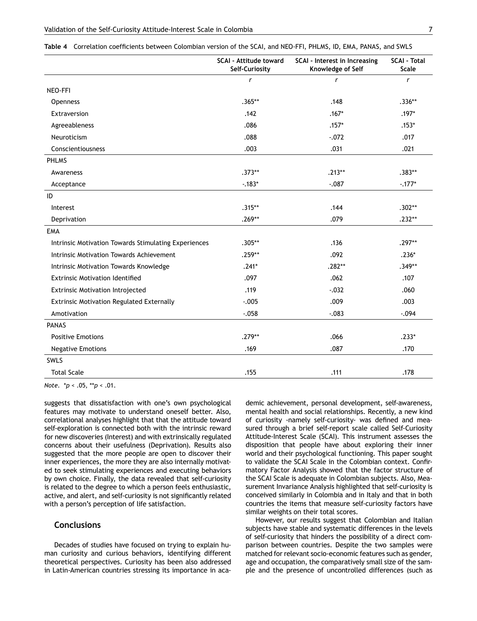|                                                      | <b>SCAI - Attitude toward</b><br>Self-Curiosity | SCAI - Interest in Increasing<br>Knowledge of Self | <b>SCAI - Total</b><br>Scale |
|------------------------------------------------------|-------------------------------------------------|----------------------------------------------------|------------------------------|
|                                                      | $\mathsf{r}$                                    | $\mathsf{r}$                                       | $\mathsf{r}$                 |
| NEO-FFI                                              |                                                 |                                                    |                              |
| <b>Openness</b>                                      | $.365**$                                        | .148                                               | $.336**$                     |
| Extraversion                                         | .142                                            | $.167*$                                            | $.197*$                      |
| Agreeableness                                        | .086                                            | $.157*$                                            | $.153*$                      |
| Neuroticism                                          | .088                                            | $-.072$                                            | .017                         |
| Conscientiousness                                    | .003                                            | .031                                               | .021                         |
| <b>PHLMS</b>                                         |                                                 |                                                    |                              |
| Awareness                                            | $.373**$                                        | $.213**$                                           | $.383**$                     |
| Acceptance                                           | $-183*$                                         | $-.087$                                            | $-.177*$                     |
| ID                                                   |                                                 |                                                    |                              |
| Interest                                             | $.315**$                                        | .144                                               | $.302**$                     |
| Deprivation                                          | $.269**$                                        | .079                                               | $.232**$                     |
| <b>EMA</b>                                           |                                                 |                                                    |                              |
| Intrinsic Motivation Towards Stimulating Experiences | $.305**$                                        | .136                                               | $.297**$                     |
| Intrinsic Motivation Towards Achievement             | $.259**$                                        | .092                                               | $.236*$                      |
| Intrinsic Motivation Towards Knowledge               | $.241*$                                         | $.282**$                                           | $.349**$                     |
| <b>Extrinsic Motivation Identified</b>               | .097                                            | .062                                               | .107                         |
| <b>Extrinsic Motivation Introjected</b>              | .119                                            | $-.032$                                            | .060                         |
| <b>Extrinsic Motivation Regulated Externally</b>     | $-.005$                                         | .009                                               | .003                         |
| Amotivation                                          | $-0.058$                                        | $-.083$                                            | $-.094$                      |
| <b>PANAS</b>                                         |                                                 |                                                    |                              |
| <b>Positive Emotions</b>                             | $.279**$                                        | .066                                               | $.233*$                      |
| <b>Negative Emotions</b>                             | .169                                            | .087                                               | .170                         |
| SWLS                                                 |                                                 |                                                    |                              |
| <b>Total Scale</b>                                   | .155                                            | .111                                               | .178                         |

**Table 4** Correlation coefficients between Colombian version of the SCAI, and NEO-FFI, PHLMS, ID, EMA, PANAS, and SWLS

*Note*. \**p* < .05, \*\**p* < .01.

suggests that dissatisfaction with one's own psychological features may motivate to understand oneself better. Also, correlational analyses highlight that that the attitude toward self-exploration is connected both with the intrinsic reward for new discoveries (Interest) and with extrinsically regulated concerns about their usefulness (Deprivation). Results also suggested that the more people are open to discover their inner experiences, the more they are also internally motivated to seek stimulating experiences and executing behaviors by own choice. Finally, the data revealed that self-curiosity is related to the degree to which a person feels enthusiastic, active, and alert, and self-curiosity is not significantly related with a person's perception of life satisfaction.

#### **Conclusions**

Decades of studies have focused on trying to explain human curiosity and curious behaviors, identifying different theoretical perspectives. Curiosity has been also addressed in Latin-American countries stressing its importance in academic achievement, personal development, self-awareness, mental health and social relationships. Recently, a new kind of curiosity -namely self-curiosity- was defined and measured through a brief self-report scale called Self-Curiosity Attitude-Interest Scale (SCAI). This instrument assesses the disposition that people have about exploring their inner world and their psychological functioning. This paper sought to validate the SCAI Scale in the Colombian context. Confirmatory Factor Analysis showed that the factor structure of the SCAI Scale is adequate in Colombian subjects. Also, Measurement Invariance Analysis highlighted that self-curiosity is conceived similarly in Colombia and in Italy and that in both countries the items that measure self-curiosity factors have similar weights on their total scores.

However, our results suggest that Colombian and Italian subjects have stable and systematic differences in the levels of self-curiosity that hinders the possibility of a direct comparison between countries. Despite the two samples were matched for relevant socio-economic features such as gender, age and occupation, the comparatively small size of the sample and the presence of uncontrolled differences (such as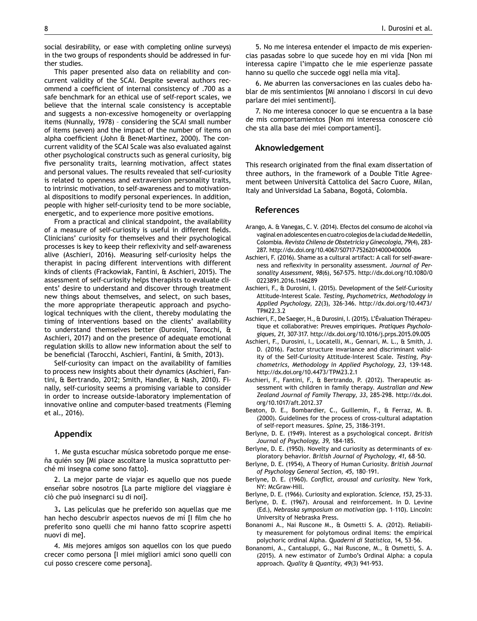social desirability, or ease with completing online surveys) in the two groups of respondents should be addressed in further studies.

This paper presented also data on reliability and concurrent validity of the SCAI. Despite several authors recommend a coefficient of internal consistency of .700 as a safe benchmark for an ethical use of self-report scales, we believe that the internal scale consistency is acceptable and suggests a non-excessive homogeneity or overlapping items (Nunnally, 1978) – considering the SCAI small number of items (seven) and the impact of the number of items on alpha coefficient (John & Benet-Martìnez, 2000). The concurrent validity of the SCAI Scale was also evaluated against other psychological constructs such as general curiosity, big five personality traits, learning motivation, affect states and personal values. The results revealed that self-curiosity is related to openness and extraversion personality traits, to intrinsic motivation, to self-awareness and to motivational dispositions to modify personal experiences. In addition, people with higher self-curiosity tend to be more sociable, energetic, and to experience more positive emotions.

From a practical and clinical standpoint, the availability of a measure of self-curiosity is useful in different fields. Clinicians' curiosity for themselves and their psychological processes is key to keep their reflexivity and self-awareness alive (Aschieri, 2016). Measuring self-curiosity helps the therapist in pacing different interventions with different kinds of clients (Frackowiak, Fantini, & Aschieri, 2015). The assessment of self-curiosity helps therapists to evaluate clients' desire to understand and discover through treatment new things about themselves, and select, on such bases, the more appropriate therapeutic approach and psychological techniques with the client, thereby modulating the timing of interventions based on the clients' availability to understand themselves better (Durosini, Tarocchi, & Aschieri, 2017) and on the presence of adequate emotional regulation skills to allow new information about the self to be beneficial (Tarocchi, Aschieri, Fantini, & Smith, 2013).

Self-curiosity can impact on the availability of families to process new insights about their dynamics (Aschieri, Fantini, & Bertrando, 2012; Smith, Handler, & Nash, 2010). Finally, self-curiosity seems a promising variable to consider in order to increase outside-laboratory implementation of innovative online and computer-based treatments (Fleming et al., 2016).

#### **Appendix**

1. Me gusta escuchar música sobretodo porque me enseña quién soy [Mi piace ascoltare la musica soprattutto perché mi insegna come sono fatto].

2. La mejor parte de viajar es aquello que nos puede enseñar sobre nosotros [La parte migliore del viaggiare è ciò che può insegnarci su di noi].

3**.** Las películas que he preferido son aquellas que me han hecho descubrir aspectos nuevos de mí [I film che ho preferito sono quelli che mi hanno fatto scoprire aspetti nuovi di me].

4. Mis mejores amigos son aquellos con los que puedo crecer como persona [I miei migliori amici sono quelli con cui posso crescere come persona].

5. No me interesa entender el impacto de mis experiencias pasadas sobre lo que sucede hoy en mi vida [Non mi interessa capire l'impatto che le mie esperienze passate hanno su quello che succede oggi nella mia vita].

6. Me aburren las conversaciones en las cuales debo hablar de mis sentimientos [Mi annoiano i discorsi in cui devo parlare dei miei sentimenti].

7. No me interesa conocer lo que se encuentra a la base de mis comportamientos [Non mi interessa conoscere cio che sta alla base dei miei comportamenti].

## Aknowledgement **Aknowledgement**

This research originated from the fnal exam dissertation of three authors, in the framework of a Double Title Agreement between Università Cattolica del Sacro Cuore, Milan, Italy and Universidad La Sabana, Bogotá, Colombia.

## Referencias **References**

- Arango, A. & Vanegas, C. V. (2014). Efectos del consumo de alcohol vía vaginal en adolescentes en cuatro colegios de la ciudad de Medellín, Colombia. *Revista Chilena de Obstetricia y Ginecologia, 79*(4)*,* 283- 287. http://dx.doi.org/10.4067/S0717-75262014000400006
- Aschieri, F. (2016). Shame as a cultural artifact: A call for self-awareness and reflexivity in personality assessment. *Journal of Personality Assessment, 98*(6), 567-575. http://dx.doi.org/10.1080/0 0223891.2016.1146289
- Aschieri, F., & Durosini, I. (2015). Development of the Self-Curiosity Attitude-Interest Scale. *Testing, Psychometrics, Methodology in Applied Psychology, 22*(3), 326-346. http://dx.doi.org/10.4473/ TPM22.3.2
- Aschieri, F., De Saeger, H., & Durosini, I. (2015). L'Évaluation Thérapeutique et collaborative: Preuves empiriques. *Pratiques Psychologiques, 21,* 307-317. http://dx.doi.org/10.1016/j.prps.2015.09.005
- Aschieri, F., Durosini, I., Locatelli, M., Gennari, M. L., & Smith, J. D. (2016). Factor structure invariance and discriminant validity of the Self-Curiosity Attitude-Interest Scale. *Testing, Psychometrics, Methodology in Applied Psychology, 23,* 139-148. http://dx.doi.org/10.4473/TPM23.2.1
- Aschieri, F., Fantini, F., & Bertrando, P. (2012). Therapeutic assessment with children in family therapy. *Australian and New Zealand Journal of Family Therapy*, *33*, 285-298. http://dx.doi. org/10.1017/aft.2012.37
- Beaton, D. E., Bombardier, C., Guillemin, F., & Ferraz, M. B. (2000). Guidelines for the process of cross-cultural adaptation of self-report measures. *Spine*, 25, 3186-3191.
- Berlyne, D. E. (1949). Interest as a psychological concept. *British Journal of Psychology, 39,* 184-185.
- Berlyne, D. E. (1950). Novelty and curiosity as determinants of exploratory behavior. *British Journal of Psychology, 41,* 68–50.
- Berlyne, D. E. (1954), A Theory of Human Curiosity. *British Journal of Psychology General Section, 45,* 180–191.
- Berlyne, D. E. (1960). *Conflict, arousal and curiosity.* New York, NY: McGraw-Hill*.*
- Berlyne, D. E. (1966). Curiosity and exploration. *Science, 153,* 25-33.
- Berlyne, D. E. (1967). Arousal and reinforcement. In D. Levine (Ed.), *Nebraska symposium on motivation* (pp. 1–110). Lincoln: University of Nebraska Press.
- Bonanomi A., Nai Ruscone M., & Osmetti S. A. (2012). Reliability measurement for polytomous ordinal items: the empirical polychoric ordinal Alpha. *Quaderni di Statistica*, 14, 53–56.
- Bonanomi, A., Cantaluppi, G., Nai Ruscone, M., & Osmetti, S. A. (2015). A new estimator of Zumbo's Ordinal Alpha: a copula approach. *Quality & Quantity*, *49*(3) 941-953.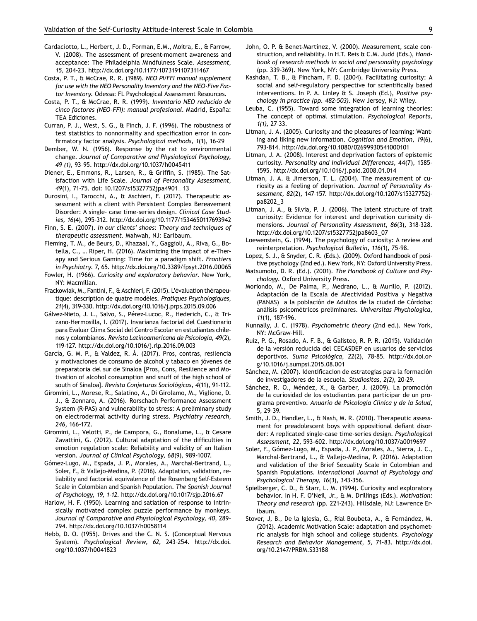- Cardaciotto, L., Herbert, J. D., Forman, E.M., Moitra, E., & Farrow, V. (2008). The assessment of present-moment awareness and acceptance: The Philadelphia Mindfulness Scale. *Assessment, 15,* 204-23. http://dx.doi.org/10.1177/1073191107311467
- Costa, P. T., & McCrae, R. R. (1989). *NEO PI/FFI manual supplement for use with the NEO Personality Inventory and the NEO-Five Factor Inventory.* Odessa: FL Psychological Assessment Resources.
- Costa, P. T., & McCrae, R. R. (1999). *Inventario NEO reducido de cinco factores (NEO-FFI): manual profesional.* Madrid, España: TEA Ediciones.
- Curran, P. J., West, S. G., & Finch, J. F. (1996). The robustness of test statistics to nonnormality and specification error in confirmatory factor analysis. *Psychological methods, 1*(1), 16-29
- Dember, W. N. (1956). Response by the rat to environmental change. *Journal of Comparative and Physiological Psychology, 49 (1),* 93–95. http://dx.doi.org/10.1037/h0045411
- Diener, E., Emmons, R., Larsen, R., & Griffin, S. (1985). The Satisfaction with Life Scale. *Journal of Personality Assessment, 49*(1), 71-75. doi: 10.1207/s15327752jpa4901\_ 13
- Durosini, I., Tarocchi, A., & Aschieri, F. (2017). Therapeutic assessment with a client with Persistent Complex Bereavement Disorder: A single- case time-series design. *Clinical Case Studies, 16*(4), 295-312. http://dx.doi.org/10.1177/1534650117693942
- Finn, S. E. (2007). *In our clients' shoes: Theory and techniques of therapeutic assessment.* Mahwah, NJ: Earlbaum.
- Fleming, T. M., de Beurs, D., Khazaal, Y., Gaggioli, A., Riva, G., Botella, C., … Riper, H. (2016). Maximizing the impact of e-Therapy and Serious Gaming: Time for a paradigm shift. *Frontiers in Psychiatry.* 7, 65. http://dx.doi.org/10.3389/fpsyt.2016.00065
- Fowler, H. (1966). *Curiosity and exploratory behavior.* New York, NY: Macmillan.
- Frackowiak, M., Fantini, F., & Aschieri, F. (2015). L'évaluation thérapeutique: description de quatre modèles. *Pratiques Psychologiques, 21*(4), 319-330. http://dx.doi.org/10.1016/j.prps.2015.09.006
- Gálvez-Nieto, J. L., Salvo, S., Pérez-Lucoc, R., Hederich, C., & Trizano-Hermosilla, I. (2017). Invarianza factorial del Cuestionario para Evaluar Clima Social del Centro Escolar en estudiantes chilenos y colombianos. *Revista Latinoamericana de Psicología, 49*(2), 119-127*.* http://dx.doi.org/10.1016/j.rlp.2016.09.003
- García, G. M. P., & Valdez, R. Á. (2017). Pros, contras, resilencia y motivaciones de consumo de alcohol y tabaco en jóvenes de preparatoria del sur de Sinaloa [Pros, Cons, Resilience and Motivation of alcohol consumption and snuff of the high school of south of Sinaloa]. *Revista Conjeturas Sociológicas*, *4*(11), 91-112.
- Giromini, L., Morese, R., Salatino, A., Di Girolamo, M., Viglione, D. J., & Zennaro, A. (2016). Rorschach Performance Assessment System (R-PAS) and vulnerability to stress: A preliminary study on electrodermal activity during stress. *Psychiatry research, 246*, 166-172.
- Giromini, L., Velotti, P., de Campora, G., Bonalume, L., & Cesare Zavattini, G. (2012). Cultural adaptation of the difficulties in emotion regulation scale: Reliability and validity of an Italian version. *Journal of Clinical Psychology, 68*(9), 989-1007.
- Gómez-Lugo, M., Espada, J. P., Morales, A., Marchal-Bertrand, L., Soler, F., & Vallejo-Medina, P. (2016). Adaptation, validation, reliability and factorial equivalence of the Rosenberg Self-Esteem Scale in Colombian and Spanish Population. *The Spanish Journal of Psychology, 19, 1-12.* http://dx.doi.org/10.1017/sjp.2016.67
- Harlow, H. F. (1950). Learning and satiation of response to intrinsically motivated complex puzzle performance by monkeys. *Journal of Comparative and Physiological Psychology, 40,* 289– 294. http://dx.doi.org/10.1037/h0058114
- Hebb, D. O. (1955). Drives and the C. N. S. (Conceptual Nervous System). *Psychological Review, 62,* 243–254. http://dx.doi. org/10.1037/h0041823
- John, O. P. & Benet-Martínez, V. (2000). Measurement, scale construction, and reliability. In H.T. Reis & C.M. Judd (Eds.), *Handbook of research methods in social and personality psychology* (pp. 339-369). New York, NY: Cambridge University Press.
- Kashdan, T. B., & Fincham, F. D. (2004). Facilitating curiosity: A social and self-regulatory perspective for scientifically based interventions. In P. A. Linley & S. Joseph (Ed.), *Positive psychology in practice (pp. 482-503).* New Jersey, NJ: Wiley.
- Leuba, C. (1955). Toward some integration of learning theories: The concept of optimal stimulation. *Psychological Reports, 1(1),* 27–33.
- Litman, J. A. (2005). Curiosity and the pleasures of learning: Wanting and liking new information. *Cognition and Emotion, 19*(6), 793-814. http://dx.doi.org/10.1080/02699930541000101
- Litman, J. A. (2008). Interest and deprivation factors of epistemic curiosity. *Personality and Individual Differences,* 44(7), 1585- 1595. http://dx.doi.org/10.1016/j.paid.2008.01.014
- Litman, J. A. & Jimerson, T. L. (2004). The measurement of curiosity as a feeling of deprivation. *Journal of Personality Assessment, 82*(2)*,* 147–157. http://dx.doi.org/10.1207/s15327752jpa8202\_3
- Litman, J. A., & Silvia, P. J. (2006). The latent structure of trait curiosity: Evidence for interest and deprivation curiosity dimensions. *Journal of Personality Assessment, 86*(3)*,* 318-328. http://dx.doi.org/10.1207/s15327752jpa8603\_07
- Loewenstein, G. (1994). The psychology of curiosity: A review and reinterpretation. *Psychological Bulletin, 116*(1), 75-98.
- Lopez, S. J., & Snyder, C. R. (Eds.). (2009). Oxford handbook of positive psychology (2nd ed.). New York, NY: Oxford University Press.
- Matsumoto, D. R. (Ed.). (2001). *The Handbook of Culture and Psychology.* Oxford University Press.
- Moriondo, M., De Palma, P., Medrano, L., & Murillo, P. (2012). Adaptación de la Escala de Afectividad Positiva y Negativa (PANAS) a la población de Adultos de la ciudad de Córdoba: análisis psicométricos preliminares. *Universitas Phychologica, 11*(1), 187-196.
- Nunnally, J. C. (1978). *Psychometric theory* (2nd ed.)*.* New York, NY: McGraw-Hill.
- Ruiz, P. G., Rosado, A. F. B., & Galisteo, R. P. R. (2015). Validación de la versión reducida del CECASDEP en usuarios de servicios deportivos. *Suma Psicológica, 22*(2), 78-85. http://dx.doi.org/10.1016/j.sumpsi.2015.08.001
- Sánchez, M. (2007). Identificacion de estrategias para la formación de investigadores de la escuela. *Studiositas, 2(2),* 20-29.
- Sánchez, R. O., Méndez, X., & Garber, J. (2009). La promoción de la curiosidad de los estudiantes para participar de un programa preventivo. *Anuario de Psicología Clínica y de la Salud*, 5, 29–39.
- Smith, J. D., Handler, L., & Nash, M. R. (2010). Therapeutic assessment for preadolescent boys with oppositional defiant disorder: A replicated single-case time-series design. *Psychological Assessment*, *22*, 593-602. http://dx.doi.org/10.1037/a0019697
- Soler, F., Gómez-Lugo, M., Espada, J. P., Morales, A., Sierra, J. C., Marchal-Bertrand, L., & Vallejo-Medina, P. (2016). Adaptation and validation of the Brief Sexuality Scale in Colombian and Spanish Populations. *International Journal of Psychology and Psychological Therapy, 16*(3), 343-356.
- Spielberger, C. D., & Starr, L. M. (1994). Curiosity and exploratory behavior. In H. F. O'Neil, Jr., & M. Drillings (Eds.). *Motivation: Theory and research* (pp. 221-243). Hillsdale, NJ: Lawrence Erlbaum.
- Stover, J, B., De la Iglesia, G., Rial Boubeta, A., & Fernández, M. (2012). Academic Motivation Scale: adaptation and psychometric analysis for high school and college students. *Psychology Research and Behavior Management, 5,* 71-83. http://dx.doi. org/10.2147/PRBM.S33188